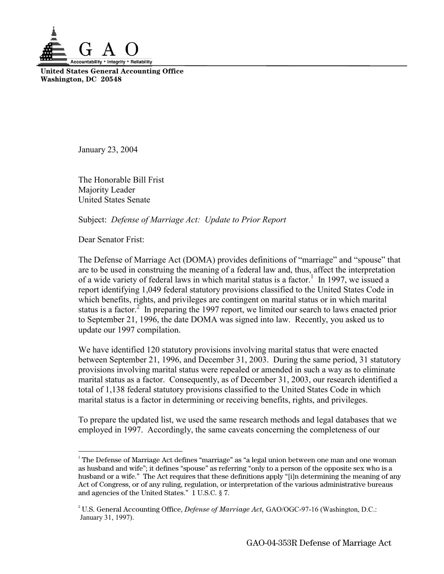

**United States General Accounting Office Washington, DC 20548** 

January 23, 2004

The Honorable Bill Frist Majority Leader United States Senate

Subject: *Defense of Marriage Act: Update to Prior Report* 

Dear Senator Frist:

-

The Defense of Marriage Act (DOMA) provides definitions of "marriage" and "spouse" that are to be used in construing the meaning of a federal law and, thus, affect the interpretation of a wide variety of federal laws in which marital status is a factor.<sup>[1](#page-0-0)</sup> In 1997, we issued a report identifying 1,049 federal statutory provisions classified to the United States Code in which benefits, rights, and privileges are contingent on marital status or in which marital status is a factor. $2^{\degree}$  $2^{\degree}$  In preparing the 1997 report, we limited our search to laws enacted prior to September 21, 1996, the date DOMA was signed into law. Recently, you asked us to update our 1997 compilation.

We have identified 120 statutory provisions involving marital status that were enacted between September 21, 1996, and December 31, 2003. During the same period, 31 statutory provisions involving marital status were repealed or amended in such a way as to eliminate marital status as a factor. Consequently, as of December 31, 2003, our research identified a total of 1,138 federal statutory provisions classified to the United States Code in which marital status is a factor in determining or receiving benefits, rights, and privileges.

To prepare the updated list, we used the same research methods and legal databases that we employed in 1997. Accordingly, the same caveats concerning the completeness of our

<span id="page-0-0"></span> $1$  The Defense of Marriage Act defines "marriage" as "a legal union between one man and one woman as husband and wife"; it defines "spouse" as referring "only to a person of the opposite sex who is a husband or a wife." The Act requires that these definitions apply "[i]n determining the meaning of any Act of Congress, or of any ruling, regulation, or interpretation of the various administrative bureaus and agencies of the United States." 1 U.S.C. § 7.

<span id="page-0-1"></span><sup>2</sup> U.S. General Accounting Office, *Defense of Marriage Act,* GAO/OGC-97-16 (Washington, D.C.: January 31, 1997).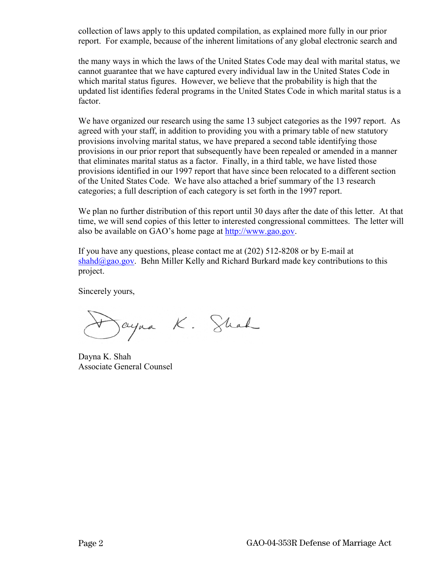collection of laws apply to this updated compilation, as explained more fully in our prior report. For example, because of the inherent limitations of any global electronic search and

the many ways in which the laws of the United States Code may deal with marital status, we cannot guarantee that we have captured every individual law in the United States Code in which marital status figures. However, we believe that the probability is high that the updated list identifies federal programs in the United States Code in which marital status is a factor.

We have organized our research using the same 13 subject categories as the 1997 report. As agreed with your staff, in addition to providing you with a primary table of new statutory provisions involving marital status, we have prepared a second table identifying those provisions in our prior report that subsequently have been repealed or amended in a manner that eliminates marital status as a factor. Finally, in a third table, we have listed those provisions identified in our 1997 report that have since been relocated to a different section of the United States Code. We have also attached a brief summary of the 13 research categories; a full description of each category is set forth in the 1997 report.

We plan no further distribution of this report until 30 days after the date of this letter. At that time, we will send copies of this letter to interested congressional committees. The letter will also be available on GAO's home page at [http://www.gao.gov.](http://www.gao.gov/)

If you have any questions, please contact me at (202) 512-8208 or by E-mail at  $shahd@gao.gov.$  Behn Miller Kelly and Richard Burkard made key contributions to this project.

Sincerely yours,

Jayna K. Shah

Dayna K. Shah Associate General Counsel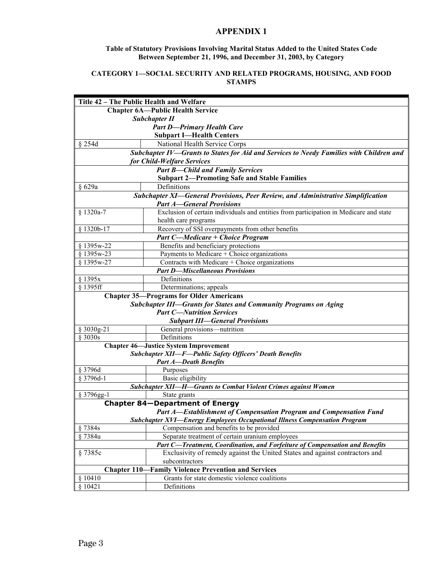## **APPENDIX 1**

#### **Table of Statutory Provisions Involving Marital Status Added to the United States Code Between September 21, 1996, and December 31, 2003, by Category**

#### **CATEGORY 1—SOCIAL SECURITY AND RELATED PROGRAMS, HOUSING, AND FOOD STAMPS**

| Title 42 - The Public Health and Welfare                                  |                                                                                         |
|---------------------------------------------------------------------------|-----------------------------------------------------------------------------------------|
| <b>Chapter 6A—Public Health Service</b>                                   |                                                                                         |
| <b>Subchapter II</b>                                                      |                                                                                         |
| <b>Part D-Primary Health Care</b>                                         |                                                                                         |
|                                                                           | <b>Subpart I-Health Centers</b>                                                         |
| $§$ 254d                                                                  | National Health Service Corps                                                           |
|                                                                           | Subchapter IV-Grants to States for Aid and Services to Needy Families with Children and |
|                                                                           | for Child-Welfare Services                                                              |
|                                                                           | <b>Part B-Child and Family Services</b>                                                 |
|                                                                           | <b>Subpart 2-Promoting Safe and Stable Families</b>                                     |
| § 629a                                                                    | Definitions                                                                             |
|                                                                           | Subchapter XI—General Provisions, Peer Review, and Administrative Simplification        |
|                                                                           | <b>Part A-General Provisions</b>                                                        |
| § 1320a-7                                                                 | Exclusion of certain individuals and entities from participation in Medicare and state  |
|                                                                           | health care programs                                                                    |
| § 1320b-17                                                                | Recovery of SSI overpayments from other benefits                                        |
|                                                                           | <b>Part C-Medicare + Choice Program</b>                                                 |
| § 1395w-22                                                                | Benefits and beneficiary protections                                                    |
| § 1395w-23                                                                | Payments to Medicare + Choice organizations                                             |
| § 1395w-27                                                                | Contracts with Medicare + Choice organizations                                          |
|                                                                           | <b>Part D-Miscellaneous Provisions</b>                                                  |
| § 1395x                                                                   | Definitions                                                                             |
| § 1395ff                                                                  | Determinations; appeals                                                                 |
|                                                                           | <b>Chapter 35-Programs for Older Americans</b>                                          |
|                                                                           | <b>Subchapter III—Grants for States and Community Programs on Aging</b>                 |
|                                                                           | <b>Part C-Nutrition Services</b>                                                        |
|                                                                           | <b>Subpart III-General Provisions</b>                                                   |
| § 3030g-21                                                                | General provisions-nutrition                                                            |
| § 3030s                                                                   | Definitions                                                                             |
|                                                                           | <b>Chapter 46-Justice System Improvement</b>                                            |
|                                                                           | <b>Subchapter XII-F-Public Safety Officers' Death Benefits</b>                          |
|                                                                           | <b>Part A-Death Benefits</b>                                                            |
| § 3796d                                                                   | Purposes                                                                                |
| § 3796d-1                                                                 | Basic eligibility                                                                       |
|                                                                           | <b>Subchapter XII-H-Grants to Combat Violent Crimes against Women</b>                   |
| § 3796gg-1                                                                | State grants                                                                            |
|                                                                           | <b>Chapter 84-Department of Energy</b>                                                  |
| <b>Part A-Establishment of Compensation Program and Compensation Fund</b> |                                                                                         |
|                                                                           | Subchapter XVI-Energy Employees Occupational Illness Compensation Program               |
| §7384s                                                                    | Compensation and benefits to be provided                                                |
| §7384u                                                                    | Separate treatment of certain uranium employees                                         |
|                                                                           | Part C-Treatment, Coordination, and Forfeiture of Compensation and Benefits             |
| §7385c                                                                    | Exclusivity of remedy against the United States and against contractors and             |
|                                                                           | subcontractors                                                                          |
| <b>Chapter 110-</b><br><b>Family Violence Prevention and Services</b>     |                                                                                         |
| § 10410                                                                   | Grants for state domestic violence coalitions                                           |
| \$10421                                                                   | Definitions                                                                             |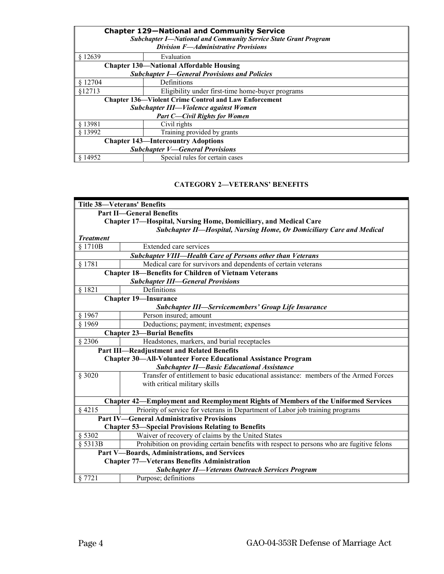| <b>Chapter 129-National and Community Service</b><br><b>Subchapter I-National and Community Service State Grant Program</b><br><b>Division F-Administrative Provisions</b> |                                                              |  |
|----------------------------------------------------------------------------------------------------------------------------------------------------------------------------|--------------------------------------------------------------|--|
| \$12639                                                                                                                                                                    | Evaluation                                                   |  |
|                                                                                                                                                                            | <b>Chapter 130—National Affordable Housing</b>               |  |
| <b>Subchapter I-General Provisions and Policies</b>                                                                                                                        |                                                              |  |
| \$12704                                                                                                                                                                    | Definitions                                                  |  |
| \$12713                                                                                                                                                                    | Eligibility under first-time home-buyer programs             |  |
|                                                                                                                                                                            | <b>Chapter 136—Violent Crime Control and Law Enforcement</b> |  |
| Subchapter III—Violence against Women                                                                                                                                      |                                                              |  |
| <b>Part C-Civil Rights for Women</b>                                                                                                                                       |                                                              |  |
| § 13981                                                                                                                                                                    | Civil rights                                                 |  |
| § 13992                                                                                                                                                                    | Training provided by grants                                  |  |
| <b>Chapter 143—Intercountry Adoptions</b>                                                                                                                                  |                                                              |  |
| <b>Subchapter V-General Provisions</b>                                                                                                                                     |                                                              |  |
| \$14952                                                                                                                                                                    | Special rules for certain cases                              |  |

## **CATEGORY 2—VETERANS' BENEFITS**

|                                                           | <b>Title 38-Veterans' Benefits</b>                                                        |  |
|-----------------------------------------------------------|-------------------------------------------------------------------------------------------|--|
|                                                           | <b>Part II-General Benefits</b>                                                           |  |
|                                                           | <b>Chapter 17—Hospital, Nursing Home, Domiciliary, and Medical Care</b>                   |  |
|                                                           | Subchapter II—Hospital, Nursing Home, Or Domiciliary Care and Medical                     |  |
| <b>Treatment</b>                                          |                                                                                           |  |
| \$1710B                                                   | Extended care services                                                                    |  |
|                                                           | <b>Subchapter VIII-Health Care of Persons other than Veterans</b>                         |  |
| § 1781                                                    | Medical care for survivors and dependents of certain veterans                             |  |
|                                                           | <b>Chapter 18-Benefits for Children of Vietnam Veterans</b>                               |  |
|                                                           | <b>Subchapter III-General Provisions</b>                                                  |  |
| § 1821                                                    | Definitions                                                                               |  |
|                                                           | <b>Chapter 19-Insurance</b>                                                               |  |
|                                                           | <b>Subchapter III—Servicemembers' Group Life Insurance</b>                                |  |
| § 1967                                                    | Person insured; amount                                                                    |  |
| $§$ 1969                                                  | Deductions; payment; investment; expenses                                                 |  |
|                                                           | <b>Chapter 23-Burial Benefits</b>                                                         |  |
| § 2306                                                    | Headstones, markers, and burial receptacles                                               |  |
|                                                           | Part III-Readjustment and Related Benefits                                                |  |
|                                                           | <b>Chapter 30-All-Volunteer Force Educational Assistance Program</b>                      |  |
|                                                           | <b>Subchapter II-Basic Educational Assistance</b>                                         |  |
| § 3020                                                    | Transfer of entitlement to basic educational assistance: members of the Armed Forces      |  |
|                                                           | with critical military skills                                                             |  |
|                                                           |                                                                                           |  |
|                                                           | Chapter 42-Employment and Reemployment Rights of Members of the Uniformed Services        |  |
| § 4215                                                    | Priority of service for veterans in Department of Labor job training programs             |  |
|                                                           | <b>Part IV-General Administrative Provisions</b>                                          |  |
| <b>Chapter 53-Special Provisions Relating to Benefits</b> |                                                                                           |  |
| § 5302                                                    | Waiver of recovery of claims by the United States                                         |  |
| § 5313B                                                   | Prohibition on providing certain benefits with respect to persons who are fugitive felons |  |
| Part V-Boards, Administrations, and Services              |                                                                                           |  |
| <b>Chapter 77-Veterans Benefits Administration</b>        |                                                                                           |  |
|                                                           | <b>Subchapter II-Veterans Outreach Services Program</b>                                   |  |
| § 7721                                                    | Purpose; definitions                                                                      |  |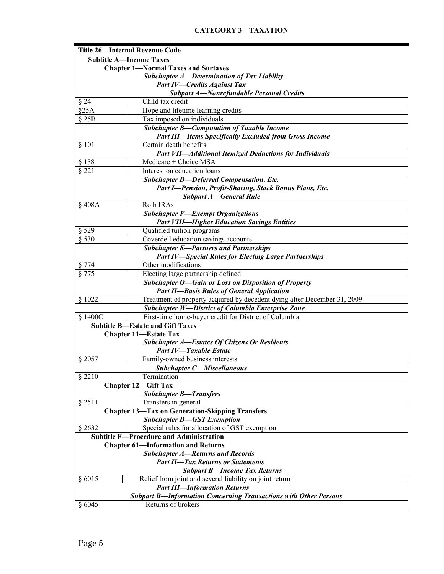# **CATEGORY 3—TAXATION**

| <b>Title 26-Internal Revenue Code</b>      |                                                                          |
|--------------------------------------------|--------------------------------------------------------------------------|
|                                            | <b>Subtitle A-Income Taxes</b>                                           |
| <b>Chapter 1-Normal Taxes and Surtaxes</b> |                                                                          |
|                                            | <b>Subchapter A-Determination of Tax Liability</b>                       |
|                                            | <b>Part IV-Credits Against Tax</b>                                       |
|                                            | <b>Subpart A-Nonrefundable Personal Credits</b>                          |
| § 24                                       | Child tax credit                                                         |
| §25A                                       | Hope and lifetime learning credits                                       |
| § 25B                                      | Tax imposed on individuals                                               |
|                                            | <b>Subchapter B-Computation of Taxable Income</b>                        |
|                                            | <b>Part III—Items Specifically Excluded from Gross Income</b>            |
| § 101                                      | Certain death benefits                                                   |
|                                            | <b>Part VII-Additional Itemized Deductions for Individuals</b>           |
| $§$ 138                                    | Medicare + Choice MSA                                                    |
| § 221                                      | Interest on education loans                                              |
|                                            | <b>Subchapter D-Deferred Compensation, Etc.</b>                          |
|                                            | Part I-Pension, Profit-Sharing, Stock Bonus Plans, Etc.                  |
|                                            | <b>Subpart A-General Rule</b>                                            |
| §408A                                      | Roth IRAs                                                                |
|                                            | <b>Subchapter F-Exempt Organizations</b>                                 |
|                                            | <b>Part VIII-Higher Education Savings Entities</b>                       |
| § 529                                      | Qualified tuition programs                                               |
| § 530                                      | Coverdell education savings accounts                                     |
|                                            | <b>Subchapter K-Partners and Partnerships</b>                            |
|                                            | <b>Part IV-Special Rules for Electing Large Partnerships</b>             |
| § 774                                      | Other modifications                                                      |
| § 775                                      | Electing large partnership defined                                       |
|                                            | Subchapter O-Gain or Loss on Disposition of Property                     |
|                                            | <b>Part II-Basis Rules of General Application</b>                        |
| $\frac{1}{2}$ 1022                         | Treatment of property acquired by decedent dying after December 31, 2009 |
|                                            | <b>Subchapter W-District of Columbia Enterprise Zone</b>                 |
| § 1400C                                    | First-time home-buyer credit for District of Columbia                    |
|                                            | <b>Subtitle B-Estate and Gift Taxes</b>                                  |
|                                            | <b>Chapter 11-Estate Tax</b>                                             |
|                                            | <b>Subchapter A-Estates Of Citizens Or Residents</b>                     |
|                                            | <b>Part IV-Taxable Estate</b>                                            |
| § 2057                                     | Family-owned business interests                                          |
|                                            | <b>Subchapter C-Miscellaneous</b>                                        |
| § 2210                                     | Termination                                                              |
|                                            | <b>Chapter 12-Gift Tax</b>                                               |
|                                            | <b>Subchapter B-Transfers</b>                                            |
| § 2511                                     | Transfers in general                                                     |
|                                            | <b>Chapter 13-Tax on Generation-Skipping Transfers</b>                   |
|                                            | <b>Subchapter D-GST Exemption</b>                                        |
| § 2632                                     | Special rules for allocation of GST exemption                            |
|                                            | <b>Subtitle F-Procedure and Administration</b>                           |
| <b>Chapter 61-Information and Returns</b>  |                                                                          |
| <b>Subchapter A-Returns and Records</b>    |                                                                          |
| <b>Part II-Tax Returns or Statements</b>   |                                                                          |
| <b>Subpart B-Income Tax Returns</b>        |                                                                          |
| § 6015                                     | Relief from joint and several liability on joint return                  |
|                                            | <b>Part III-Information Returns</b>                                      |
|                                            | <b>Subpart B-Information Concerning Transactions with Other Persons</b>  |
| § 6045                                     | Returns of brokers                                                       |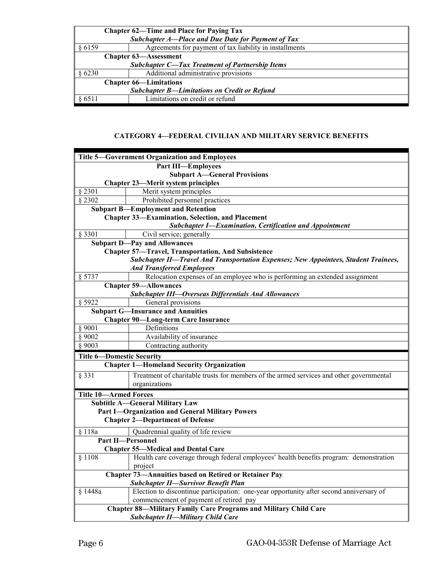| <b>Chapter 62—Time and Place for Paying Tax</b>        |                                                         |  |
|--------------------------------------------------------|---------------------------------------------------------|--|
|                                                        | Subchapter A-Place and Due Date for Payment of Tax      |  |
| 86159                                                  | Agreements for payment of tax liability in installments |  |
|                                                        | <b>Chapter 63-Assessment</b>                            |  |
| <b>Subchapter C-Tax Treatment of Partnership Items</b> |                                                         |  |
| § 6230                                                 | Additional administrative provisions                    |  |
| <b>Chapter 66—Limitations</b>                          |                                                         |  |
| <b>Subchapter B-Limitations on Credit or Refund</b>    |                                                         |  |
| 86511                                                  | Limitations on credit or refund                         |  |

# **CATEGORY 4—FEDERAL CIVILIAN AND MILITARY SERVICE BENEFITS**

| <b>Title 5-Government Organization and Employees</b>                                               |  |
|----------------------------------------------------------------------------------------------------|--|
| <b>Part III-Employees</b>                                                                          |  |
| <b>Subpart A-General Provisions</b>                                                                |  |
| <b>Chapter 23-Merit system principles</b>                                                          |  |
| \$2301<br>Merit system principles                                                                  |  |
| $\sqrt{2302}$<br>Prohibited personnel practices                                                    |  |
| <b>Subpart B-Employment and Retention</b>                                                          |  |
| <b>Chapter 33-Examination, Selection, and Placement</b>                                            |  |
| Subchapter I-Examination, Certification and Appointment                                            |  |
| § 3301<br>Civil service; generally                                                                 |  |
| <b>Subpart D-Pay and Allowances</b>                                                                |  |
| <b>Chapter 57-Travel, Transportation, And Subsistence</b>                                          |  |
| Subchapter II-Travel And Transportation Expenses; New Appointees, Student Trainees,                |  |
| <b>And Transferred Employees</b>                                                                   |  |
| Relocation expenses of an employee who is performing an extended assignment<br>§ 5737              |  |
| <b>Chapter 59-Allowances</b>                                                                       |  |
| <b>Subchapter III-Overseas Differentials And Allowances</b>                                        |  |
| § 5922<br>General provisions                                                                       |  |
| <b>Subpart G-Insurance and Annuities</b>                                                           |  |
| <b>Chapter 90—Long-term Care Insurance</b>                                                         |  |
| Definitions<br>§ 9001                                                                              |  |
| Availability of insurance<br>\$9002                                                                |  |
| Contracting authority<br>\$9003                                                                    |  |
| <b>Title 6-Domestic Security</b>                                                                   |  |
| <b>Chapter 1-Homeland Security Organization</b>                                                    |  |
| Treatment of charitable trusts for members of the armed services and other governmental<br>§ 331   |  |
| organizations                                                                                      |  |
| <b>Title 10-Armed Forces</b>                                                                       |  |
| <b>Subtitle A-General Military Law</b>                                                             |  |
| <b>Part I-Organization and General Military Powers</b>                                             |  |
| <b>Chapter 2-Department of Defense</b>                                                             |  |
| Quadrennial quality of life review<br>§ 118a                                                       |  |
| <b>Part II-Personnel</b>                                                                           |  |
| <b>Chapter 55—Medical and Dental Care</b>                                                          |  |
| Health care coverage through federal employees' health benefits program: demonstration<br>§ 1108   |  |
| project                                                                                            |  |
| <b>Chapter 73-Annuities based on Retired or Retainer Pay</b>                                       |  |
| <b>Subchapter II-Survivor Benefit Plan</b>                                                         |  |
| Election to discontinue participation: one-year opportunity after second anniversary of<br>§ 1448a |  |
| commencement of payment of retired pay                                                             |  |
| <b>Chapter 88-Military Family Care Programs and Military Child Care</b>                            |  |
| <b>Subchapter II-Military Child Care</b>                                                           |  |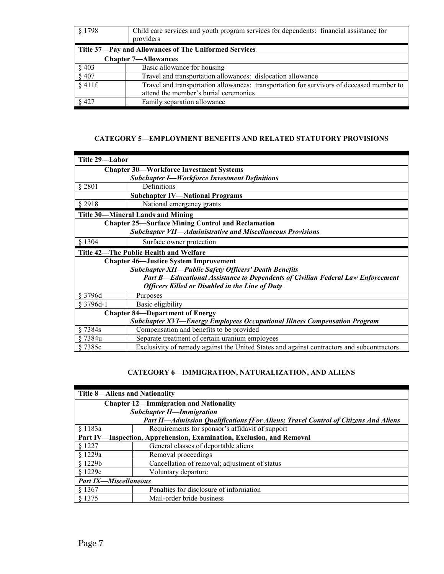| § 1798                                                | Child care services and youth program services for dependents: financial assistance for<br>providers |
|-------------------------------------------------------|------------------------------------------------------------------------------------------------------|
| Title 37-Pay and Allowances of The Uniformed Services |                                                                                                      |
| <b>Chapter 7—Allowances</b>                           |                                                                                                      |
| § 403                                                 | Basic allowance for housing                                                                          |
| § 407                                                 | Travel and transportation allowances: dislocation allowance                                          |
| $§$ 411f                                              | Travel and transportation allowances: transportation for survivors of deceased member to             |
|                                                       | attend the member's burial ceremonies                                                                |
| $§$ 427                                               | Family separation allowance                                                                          |

#### **CATEGORY 5—EMPLOYMENT BENEFITS AND RELATED STATUTORY PROVISIONS**

| Title 29-Labor                                                                   |                                                                                            |
|----------------------------------------------------------------------------------|--------------------------------------------------------------------------------------------|
| <b>Chapter 30-Workforce Investment Systems</b>                                   |                                                                                            |
|                                                                                  | <b>Subchapter I-Workforce Investment Definitions</b>                                       |
| § 2801                                                                           | Definitions                                                                                |
|                                                                                  | <b>Subchapter IV-National Programs</b>                                                     |
| § 2918                                                                           | National emergency grants                                                                  |
|                                                                                  | <b>Title 30—Mineral Lands and Mining</b>                                                   |
|                                                                                  | <b>Chapter 25-Surface Mining Control and Reclamation</b>                                   |
| <b>Subchapter VII-Administrative and Miscellaneous Provisions</b>                |                                                                                            |
| § 1304                                                                           | Surface owner protection                                                                   |
| Title 42-The Public Health and Welfare                                           |                                                                                            |
|                                                                                  | <b>Chapter 46-Justice System Improvement</b>                                               |
|                                                                                  | <b>Subchapter XII-Public Safety Officers' Death Benefits</b>                               |
|                                                                                  | Part B—Educational Assistance to Dependents of Civilian Federal Law Enforcement            |
|                                                                                  | <b>Officers Killed or Disabled in the Line of Duty</b>                                     |
| $§$ 3796d                                                                        | Purposes                                                                                   |
| § 3796d-1                                                                        | Basic eligibility                                                                          |
| <b>Chapter 84—Department of Energy</b>                                           |                                                                                            |
| <b>Subchapter XVI-Energy Employees Occupational Illness Compensation Program</b> |                                                                                            |
| §7384s                                                                           | Compensation and benefits to be provided                                                   |
| § 7384u                                                                          | Separate treatment of certain uranium employees                                            |
| §7385c                                                                           | Exclusivity of remedy against the United States and against contractors and subcontractors |

## **CATEGORY 6—IMMIGRATION, NATURALIZATION, AND ALIENS**

| <b>Title 8-Aliens and Nationality</b>                                               |                                                 |  |
|-------------------------------------------------------------------------------------|-------------------------------------------------|--|
| <b>Chapter 12-Immigration and Nationality</b>                                       |                                                 |  |
|                                                                                     | <b>Subchapter II-Immigration</b>                |  |
| Part II—Admission Qualifications fFor Aliens; Travel Control of Citizens And Aliens |                                                 |  |
| § 1183a                                                                             | Requirements for sponsor's affidavit of support |  |
| Part IV-Inspection, Apprehension, Examination, Exclusion, and Removal               |                                                 |  |
| § 1227                                                                              | General classes of deportable aliens            |  |
| \$1229a                                                                             | Removal proceedings                             |  |
| \$1229b                                                                             | Cancellation of removal; adjustment of status   |  |
| \$1229c                                                                             | Voluntary departure                             |  |
| <b>Part IX-Miscellaneous</b>                                                        |                                                 |  |
| § 1367                                                                              | Penalties for disclosure of information         |  |
| § 1375                                                                              | Mail-order bride business                       |  |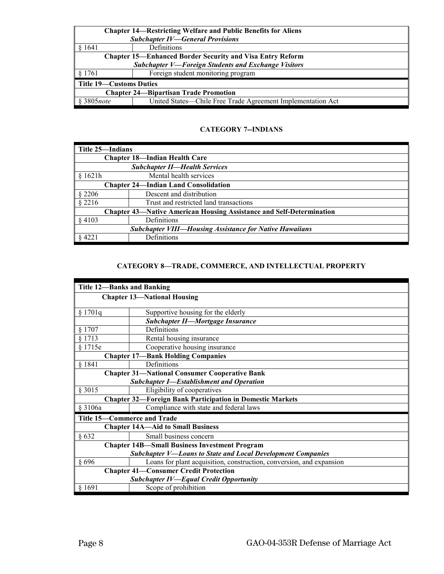| <b>Chapter 14—Restricting Welfare and Public Benefits for Aliens</b> |                                                                  |  |  |
|----------------------------------------------------------------------|------------------------------------------------------------------|--|--|
|                                                                      | <b>Subchapter IV-General Provisions</b>                          |  |  |
| § 1641                                                               | Definitions                                                      |  |  |
|                                                                      | <b>Chapter 15—Enhanced Border Security and Visa Entry Reform</b> |  |  |
| <b>Subchapter V-Foreign Students and Exchange Visitors</b>           |                                                                  |  |  |
| § 1761                                                               | Foreign student monitoring program                               |  |  |
| <b>Title 19—Customs Duties</b>                                       |                                                                  |  |  |
| <b>Chapter 24—Bipartisan Trade Promotion</b>                         |                                                                  |  |  |
| 8 3805 note                                                          | United States—Chile Free Trade Agreement Implementation Act      |  |  |

## **CATEGORY 7--INDIANS**

| Title 25—Indians                                                            |                                        |  |
|-----------------------------------------------------------------------------|----------------------------------------|--|
|                                                                             | <b>Chapter 18-Indian Health Care</b>   |  |
| <b>Subchapter II-Health Services</b>                                        |                                        |  |
| $\frac{1}{2}$ \$ 1621h                                                      | Mental health services                 |  |
| <b>Chapter 24—Indian Land Consolidation</b>                                 |                                        |  |
| $§$ 2206                                                                    | Descent and distribution               |  |
| \$2216                                                                      | Trust and restricted land transactions |  |
| <b>Chapter 43—Native American Housing Assistance and Self-Determination</b> |                                        |  |
| § 4103                                                                      | Definitions                            |  |
| <b>Subchapter VIII—Housing Assistance for Native Hawaiians</b>              |                                        |  |
| $§$ 4221                                                                    | Definitions                            |  |

## **CATEGORY 8—TRADE, COMMERCE, AND INTELLECTUAL PROPERTY**

|                                                                    | <b>Title 12-Banks and Banking</b>                                    |  |  |
|--------------------------------------------------------------------|----------------------------------------------------------------------|--|--|
|                                                                    | <b>Chapter 13-National Housing</b>                                   |  |  |
|                                                                    |                                                                      |  |  |
| § 1701q                                                            | Supportive housing for the elderly                                   |  |  |
|                                                                    | <b>Subchapter II-Mortgage Insurance</b>                              |  |  |
| § 1707                                                             | Definitions                                                          |  |  |
| § 1713                                                             | Rental housing insurance                                             |  |  |
| § 1715e                                                            | Cooperative housing insurance                                        |  |  |
|                                                                    | <b>Chapter 17-Bank Holding Companies</b>                             |  |  |
| § 1841                                                             | Definitions                                                          |  |  |
|                                                                    | <b>Chapter 31-National Consumer Cooperative Bank</b>                 |  |  |
|                                                                    | <b>Subchapter I-Establishment and Operation</b>                      |  |  |
| § 3015                                                             | Eligibility of cooperatives                                          |  |  |
|                                                                    | <b>Chapter 32-Foreign Bank Participation in Domestic Markets</b>     |  |  |
| § 3106a                                                            | Compliance with state and federal laws                               |  |  |
|                                                                    | Title 15-Commerce and Trade                                          |  |  |
|                                                                    | <b>Chapter 14A—Aid to Small Business</b>                             |  |  |
| §632                                                               | Small business concern                                               |  |  |
| <b>Chapter 14B-Small Business Investment Program</b>               |                                                                      |  |  |
| <b>Subchapter V-Loans to State and Local Development Companies</b> |                                                                      |  |  |
| § 696                                                              | Loans for plant acquisition, construction, conversion, and expansion |  |  |
| <b>Chapter 41-Consumer Credit Protection</b>                       |                                                                      |  |  |
| <b>Subchapter IV-Equal Credit Opportunity</b>                      |                                                                      |  |  |
| § 1691                                                             | Scope of prohibition                                                 |  |  |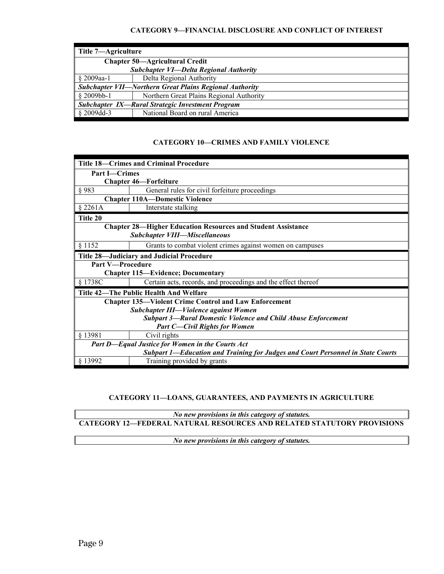## **CATEGORY 9—FINANCIAL DISCLOSURE AND CONFLICT OF INTEREST**

| Title 7—Agriculture                                            |                                          |  |
|----------------------------------------------------------------|------------------------------------------|--|
| <b>Chapter 50—Agricultural Credit</b>                          |                                          |  |
| Subchapter VI-Delta Regional Authority                         |                                          |  |
| § 2009aa-1                                                     | Delta Regional Authority                 |  |
| <b>Subchapter VII—Northern Great Plains Regional Authority</b> |                                          |  |
| $\frac{1}{2}$ \$ 2009bb-1                                      | Northern Great Plains Regional Authority |  |
| <b>Subchapter IX—Rural Strategic Investment Program</b>        |                                          |  |
|                                                                | National Board on rural America          |  |

## **CATEGORY 10—CRIMES AND FAMILY VIOLENCE**

| <b>Title 18—Crimes and Criminal Procedure</b>                                   |                                                                      |  |
|---------------------------------------------------------------------------------|----------------------------------------------------------------------|--|
| <b>Part I</b> -Crimes                                                           |                                                                      |  |
|                                                                                 | <b>Chapter 46-Forfeiture</b>                                         |  |
| § 983                                                                           | General rules for civil forfeiture proceedings                       |  |
|                                                                                 | <b>Chapter 110A-Domestic Violence</b>                                |  |
| \$2261A                                                                         | Interstate stalking                                                  |  |
| Title 20                                                                        |                                                                      |  |
|                                                                                 | <b>Chapter 28—Higher Education Resources and Student Assistance</b>  |  |
|                                                                                 | <b>Subchapter VIII-Miscellaneous</b>                                 |  |
| § 1152                                                                          | Grants to combat violent crimes against women on campuses            |  |
|                                                                                 | Title 28-Judiciary and Judicial Procedure                            |  |
| <b>Part V-Procedure</b>                                                         |                                                                      |  |
|                                                                                 | <b>Chapter 115-Evidence; Documentary</b>                             |  |
| § 1738C                                                                         | Certain acts, records, and proceedings and the effect thereof        |  |
| Title 42—The Public Health And Welfare                                          |                                                                      |  |
|                                                                                 | <b>Chapter 135—Violent Crime Control and Law Enforcement</b>         |  |
|                                                                                 | Subchapter III-Violence against Women                                |  |
|                                                                                 | <b>Subpart 3-Rural Domestic Violence and Child Abuse Enforcement</b> |  |
|                                                                                 | <b>Part C-Civil Rights for Women</b>                                 |  |
| § 13981                                                                         | Civil rights                                                         |  |
| Part D-Equal Justice for Women in the Courts Act                                |                                                                      |  |
| Subpart 1-Education and Training for Judges and Court Personnel in State Courts |                                                                      |  |
| § 13992                                                                         | Training provided by grants                                          |  |

## **CATEGORY 11—LOANS, GUARANTEES, AND PAYMENTS IN AGRICULTURE**

*No new provisions in this category of statutes.*  **CATEGORY 12—FEDERAL NATURAL RESOURCES AND RELATED STATUTORY PROVISIONS** 

*No new provisions in this category of statutes.*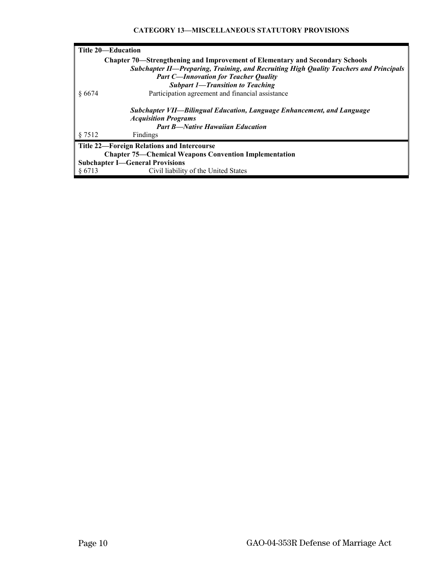## **CATEGORY 13—MISCELLANEOUS STATUTORY PROVISIONS**

| Title 20—Education                                                                                                                               |  |  |
|--------------------------------------------------------------------------------------------------------------------------------------------------|--|--|
| <b>Chapter 70—Strengthening and Improvement of Elementary and Secondary Schools</b>                                                              |  |  |
| <b>Subchapter II—Preparing, Training, and Recruiting High Quality Teachers and Principals</b>                                                    |  |  |
| <b>Part C-Innovation for Teacher Quality</b>                                                                                                     |  |  |
| <b>Subpart 1-Transition to Teaching</b>                                                                                                          |  |  |
| Participation agreement and financial assistance<br>\$6674                                                                                       |  |  |
| Subchapter VII—Bilingual Education, Language Enhancement, and Language<br><b>Acquisition Programs</b><br><b>Part B—Native Hawaiian Education</b> |  |  |
| § 7512<br>Findings                                                                                                                               |  |  |
| <b>Title 22-Foreign Relations and Intercourse</b>                                                                                                |  |  |
| <b>Chapter 75—Chemical Weapons Convention Implementation</b>                                                                                     |  |  |
| <b>Subchapter I-General Provisions</b>                                                                                                           |  |  |
| \$6713<br>Civil liability of the United States                                                                                                   |  |  |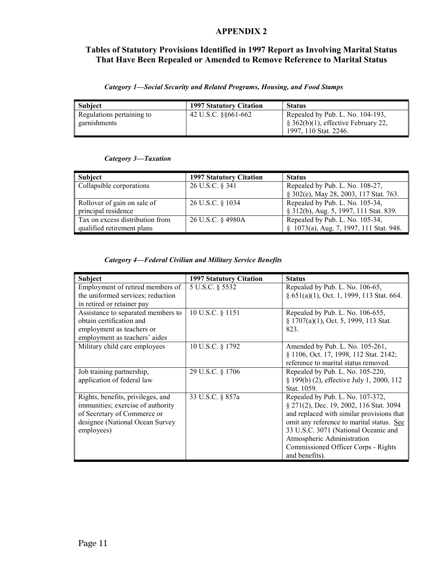# **APPENDIX 2**

# **Tables of Statutory Provisions Identified in 1997 Report as Involving Marital Status That Have Been Repealed or Amended to Remove Reference to Marital Status**

| <b>Subject</b>                            | <b>1997 Statutory Citation</b> | <b>Status</b>                                                                                                   |
|-------------------------------------------|--------------------------------|-----------------------------------------------------------------------------------------------------------------|
| Regulations pertaining to<br>garnishments | 42 U.S.C. 88661-662            | Repealed by Pub. L. No. 104-193,<br>$\frac{1}{2}$ \$ 362(b)(1), effective February 22,<br>1997, 110 Stat. 2246. |

## *Category 3—Taxation*

| Subject                         | <b>1997 Statutory Citation</b> | <b>Status</b>                           |
|---------------------------------|--------------------------------|-----------------------------------------|
| Collapsible corporations        | 26 U.S.C. § 341                | Repealed by Pub. L. No. 108-27,         |
|                                 |                                | § 302(e), May 28, 2003, 117 Stat. 763.  |
| Rollover of gain on sale of     | 26 U.S.C. § 1034               | Repealed by Pub. L. No. 105-34,         |
| principal residence             |                                | § 312(b), Aug. 5, 1997, 111 Stat. 839.  |
| Tax on excess distribution from | 26 U.S.C. § 4980A              | Repealed by Pub. L. No. 105-34,         |
| qualified retirement plans      |                                | § 1073(a), Aug. 7, 1997, 111 Stat. 948. |

## *Category 4—Federal Civilian and Military Service Benefits*

| <b>Subject</b>                                                                                                                                         | <b>1997 Statutory Citation</b> | <b>Status</b>                                                                                                                                                                                                                                                                                        |
|--------------------------------------------------------------------------------------------------------------------------------------------------------|--------------------------------|------------------------------------------------------------------------------------------------------------------------------------------------------------------------------------------------------------------------------------------------------------------------------------------------------|
| Employment of retired members of<br>the uniformed services; reduction                                                                                  | 5 U.S.C. § 5532                | Repealed by Pub. L. No. 106-65,<br>§ 651(a)(1), Oct. 1, 1999, 113 Stat. 664.                                                                                                                                                                                                                         |
| in retired or retainer pay                                                                                                                             |                                |                                                                                                                                                                                                                                                                                                      |
| Assistance to separated members to<br>obtain certification and<br>employment as teachers or<br>employment as teachers' aides                           | 10 U.S.C. § 1151               | Repealed by Pub. L. No. 106-655,<br>§ 1707(a)(1), Oct. 5, 1999, 113 Stat.<br>823.                                                                                                                                                                                                                    |
| Military child care employees                                                                                                                          | 10 U.S.C. § 1792               | Amended by Pub. L. No. 105-261,<br>§ 1106, Oct. 17, 1998, 112 Stat. 2142;<br>reference to marital status removed.                                                                                                                                                                                    |
| Job training partnership,<br>application of federal law                                                                                                | 29 U.S.C. § 1706               | Repealed by Pub. L. No. 105-220,<br>§ 199(b) (2), effective July 1, 2000, 112<br>Stat. 1059.                                                                                                                                                                                                         |
| Rights, benefits, privileges, and<br>immunities; exercise of authority<br>of Secretary of Commerce or<br>designee (National Ocean Survey<br>employees) | 33 U.S.C. § 857a               | Repealed by Pub. L. No. 107-372,<br>§ 271(2), Dec. 19, 2002, 116 Stat. 3094<br>and replaced with similar provisions that<br>omit any reference to marital status. See<br>33 U.S.C. 3071 (National Oceanic and<br>Atmospheric Administration<br>Commissioned Officer Corps - Rights<br>and benefits). |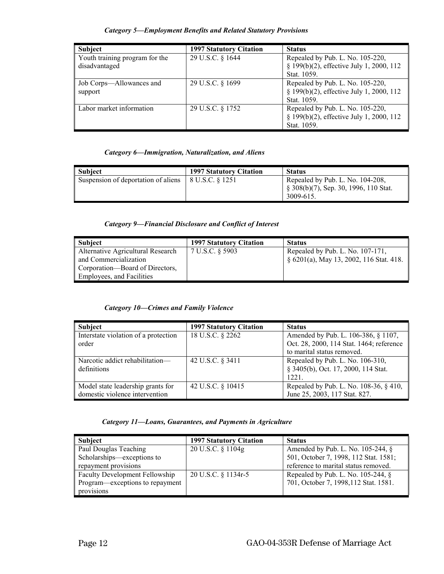| Subject                        | <b>1997 Statutory Citation</b> | <b>Status</b>                            |
|--------------------------------|--------------------------------|------------------------------------------|
| Youth training program for the | 29 U.S.C. § 1644               | Repealed by Pub. L. No. 105-220,         |
| disadvantaged                  |                                | § 199(b)(2), effective July 1, 2000, 112 |
|                                |                                | Stat. 1059.                              |
| Job Corps—Allowances and       | 29 U.S.C. § 1699               | Repealed by Pub. L. No. 105-220,         |
| support                        |                                | § 199(b)(2), effective July 1, 2000, 112 |
|                                |                                | Stat. 1059.                              |
| Labor market information       | 29 U.S.C. § 1752               | Repealed by Pub. L. No. 105-220,         |
|                                |                                | § 199(b)(2), effective July 1, 2000, 112 |
|                                |                                | Stat. 1059.                              |

#### *Category 5—Employment Benefits and Related Statutory Provisions*

#### *Category 6—Immigration, Naturalization, and Aliens*

| Subject                             | <b>1997 Statutory Citation</b> | <b>Status</b>                                                                                        |
|-------------------------------------|--------------------------------|------------------------------------------------------------------------------------------------------|
| Suspension of deportation of aliens | 8 U.S.C. § 1251                | Repealed by Pub. L. No. 104-208,<br>$\frac{1}{2}$ § 308(b)(7), Sep. 30, 1996, 110 Stat.<br>3009-615. |

## *Category 9—Financial Disclosure and Conflict of Interest*

| Subject                           | <b>1997 Statutory Citation</b> | <b>Status</b>                           |
|-----------------------------------|--------------------------------|-----------------------------------------|
| Alternative Agricultural Research | 7 U.S.C. § 5903                | Repealed by Pub. L. No. 107-171.        |
| and Commercialization             |                                | § 6201(a), May 13, 2002, 116 Stat. 418. |
| Corporation—Board of Directors,   |                                |                                         |
| <b>Employees, and Facilities</b>  |                                |                                         |

#### *Category 10—Crimes and Family Violence*

| Subject                              | <b>1997 Statutory Citation</b> | <b>Status</b>                            |
|--------------------------------------|--------------------------------|------------------------------------------|
| Interstate violation of a protection | 18 U.S.C. § 2262               | Amended by Pub. L. 106-386, § 1107,      |
| order                                |                                | Oct. 28, 2000, 114 Stat. 1464; reference |
|                                      |                                | to marital status removed.               |
| Narcotic addict rehabilitation-      | 42 U.S.C. § 3411               | Repealed by Pub. L. No. 106-310,         |
| definitions                          |                                | § 3405(b), Oct. 17, 2000, 114 Stat.      |
|                                      |                                | 1221.                                    |
| Model state leadership grants for    | 42 U.S.C. § 10415              | Repealed by Pub. L. No. 108-36, § 410,   |
| domestic violence intervention       |                                | June 25, 2003, 117 Stat. 827.            |

#### *Category 11—Loans, Guarantees, and Payments in Agriculture*

| <b>Subject</b>                        | <b>1997 Statutory Citation</b> | <b>Status</b>                                    |
|---------------------------------------|--------------------------------|--------------------------------------------------|
| Paul Douglas Teaching                 | 20 U.S.C. § 1104g              | Amended by Pub. L. No. $105-244$ , $\frac{8}{9}$ |
| Scholarships—exceptions to            |                                | 501, October 7, 1998, 112 Stat. 1581;            |
| repayment provisions                  |                                | reference to marital status removed.             |
| <b>Faculty Development Fellowship</b> | 20 U.S.C. § 1134r-5            | Repealed by Pub. L. No. $105-244$ , $\hat{\S}$   |
| Program—exceptions to repayment       |                                | 701, October 7, 1998, 112 Stat. 1581.            |
| provisions                            |                                |                                                  |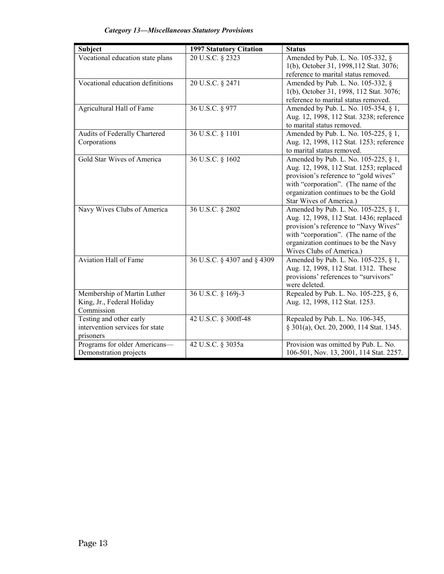| <b>Category 13-Miscellaneous Statutory Provisions</b> |  |
|-------------------------------------------------------|--|
|                                                       |  |

| <b>Subject</b>                               | <b>1997 Statutory Citation</b> | <b>Status</b>                            |
|----------------------------------------------|--------------------------------|------------------------------------------|
| Vocational education state plans             | 20 U.S.C. § 2323               | Amended by Pub. L. No. 105-332, §        |
|                                              |                                | 1(b), October 31, 1998, 112 Stat. 3076;  |
|                                              |                                | reference to marital status removed.     |
| Vocational education definitions             | 20 U.S.C. § 2471               | Amended by Pub. L. No. 105-332, §        |
|                                              |                                | 1(b), October 31, 1998, 112 Stat. 3076;  |
|                                              |                                | reference to marital status removed.     |
| Agricultural Hall of Fame                    | 36 U.S.C. § 977                | Amended by Pub. L. No. 105-354, § 1,     |
|                                              |                                | Aug. 12, 1998, 112 Stat. 3238; reference |
|                                              |                                | to marital status removed.               |
| Audits of Federally Chartered                | 36 U.S.C. § 1101               | Amended by Pub. L. No. 105-225, § 1,     |
| Corporations                                 |                                | Aug. 12, 1998, 112 Stat. 1253; reference |
|                                              |                                | to marital status removed.               |
| <b>Gold Star Wives of America</b>            | 36 U.S.C. § 1602               | Amended by Pub. L. No. 105-225, § 1,     |
|                                              |                                | Aug. 12, 1998, 112 Stat. 1253; replaced  |
|                                              |                                | provision's reference to "gold wives"    |
|                                              |                                | with "corporation". (The name of the     |
|                                              |                                | organization continues to be the Gold    |
|                                              |                                | Star Wives of America.)                  |
| Navy Wives Clubs of America                  | 36 U.S.C. § 2802               | Amended by Pub. L. No. 105-225, § 1,     |
|                                              |                                | Aug. 12, 1998, 112 Stat. 1436; replaced  |
|                                              |                                | provision's reference to "Navy Wives"    |
|                                              |                                | with "corporation". (The name of the     |
|                                              |                                | organization continues to be the Navy    |
|                                              |                                | Wives Clubs of America.)                 |
| <b>Aviation Hall of Fame</b>                 | 36 U.S.C. § 4307 and § 4309    | Amended by Pub. L. No. 105-225, § 1,     |
|                                              |                                | Aug. 12, 1998, 112 Stat. 1312. These     |
|                                              |                                | provisions' references to "survivors"    |
|                                              |                                | were deleted.                            |
| Membership of Martin Luther                  | 36 U.S.C. § 169j-3             | Repealed by Pub. L. No. 105-225, § 6,    |
| King, Jr., Federal Holiday                   |                                | Aug. 12, 1998, 112 Stat. 1253.           |
| Commission                                   |                                |                                          |
| Testing and other early                      | 42 U.S.C. § 300ff-48           | Repealed by Pub. L. No. 106-345,         |
| intervention services for state<br>prisoners |                                | § 301(a), Oct. 20, 2000, 114 Stat. 1345. |
| Programs for older Americans-                | 42 U.S.C. § 3035a              | Provision was omitted by Pub. L. No.     |
| Demonstration projects                       |                                | 106-501, Nov. 13, 2001, 114 Stat. 2257.  |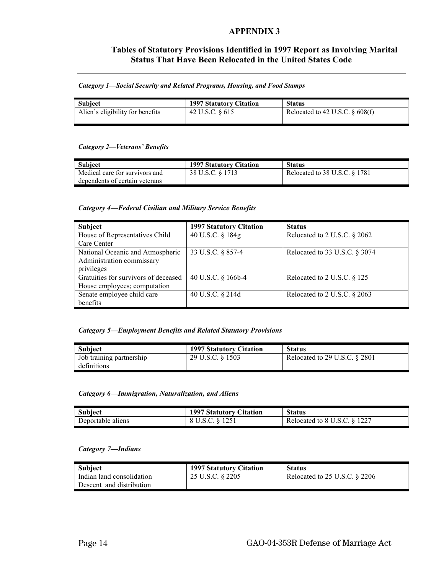# **APPENDIX 3**

# **Tables of Statutory Provisions Identified in 1997 Report as Involving Marital Status That Have Been Relocated in the United States Code**

#### *Category 1—Social Security and Related Programs, Housing, and Food Stamps*

| <b>Subject</b>                   | 1997 Statutory Citation | <b>Status</b>                      |
|----------------------------------|-------------------------|------------------------------------|
| Alien's eligibility for benefits | 42 U.S.C. § 615         | Relocated to 42 U.S.C. $\&$ 608(f) |

#### *Category 2—Veterans' Benefits*

| Subject                        | <b>1997 Statutory Citation</b> | <b>Status</b>                 |
|--------------------------------|--------------------------------|-------------------------------|
| Medical care for survivors and | 38 U.S.C. § 1713               | Relocated to 38 U.S.C. § 1781 |
| dependents of certain veterans |                                |                               |

## *Category 4—Federal Civilian and Military Service Benefits*

| Subject                              | <b>1997 Statutory Citation</b> | <b>Status</b>                   |
|--------------------------------------|--------------------------------|---------------------------------|
| House of Representatives Child       | 40 U.S.C. § 184g               | Relocated to 2 U.S.C. $\S$ 2062 |
| Care Center                          |                                |                                 |
| National Oceanic and Atmospheric     | 33 U.S.C. § 857-4              | Relocated to 33 U.S.C. § 3074   |
| Administration commissary            |                                |                                 |
| privileges                           |                                |                                 |
| Gratuities for survivors of deceased | 40 U.S.C. § 166b-4             | Relocated to 2 U.S.C. § 125     |
| House employees; computation         |                                |                                 |
| Senate employee child care           | 40 U.S.C. § 214d               | Relocated to 2 U.S.C. § 2063    |
| benefits                             |                                |                                 |

#### *Category 5—Employment Benefits and Related Statutory Provisions*

| Subject                   | <b>1997 Statutory Citation</b> | <b>Status</b>                    |
|---------------------------|--------------------------------|----------------------------------|
| Job training partnership— | 29 U.S.C. § 1503               | Relocated to 29 U.S.C. $\S$ 2801 |
| definitions               |                                |                                  |

#### *Category 6—Immigration, Naturalization, and Aliens*

| <b>Subject</b>    | <b>1997 Statutory Citation</b> | <b>Status</b>                |
|-------------------|--------------------------------|------------------------------|
| Deportable aliens | 8 U.S.C. § 1251                | Relocated to 8 U.S.C. § 1227 |

#### *Category 7—Indians*

| Subject                    | 1997 Statutory Citation | <b>Status</b>                   |
|----------------------------|-------------------------|---------------------------------|
| Indian land consolidation— | 25 U.S.C. § 2205        | Relocated to $25$ U.S.C. § 2206 |
| Descent and distribution   |                         |                                 |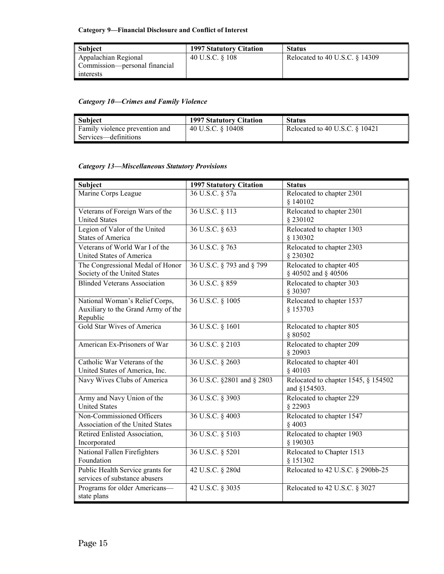# **Category 9—Financial Disclosure and Conflict of Interest**

| Subject                       | <b>1997 Statutory Citation</b> | <b>Status</b>                     |
|-------------------------------|--------------------------------|-----------------------------------|
| Appalachian Regional          | 40 U.S.C. § 108                | Relocated to 40 U.S.C. $\S$ 14309 |
| Commission—personal financial |                                |                                   |
| l interests                   |                                |                                   |

# *Category 10—Crimes and Family Violence*

| <b>Subject</b>                 | <b>1997 Statutory Citation</b> | <b>Status</b>                     |
|--------------------------------|--------------------------------|-----------------------------------|
| Family violence prevention and | 40 U.S.C. § 10408              | Relocated to 40 U.S.C. $\S$ 10421 |
| Services—definitions           |                                |                                   |

# *Category 13—Miscellaneous Statutory Provisions*

| Subject                                                                          | <b>1997 Statutory Citation</b> | <b>Status</b>                                       |
|----------------------------------------------------------------------------------|--------------------------------|-----------------------------------------------------|
| Marine Corps League                                                              | 36 U.S.C. § 57a                | Relocated to chapter 2301<br>\$140102               |
| Veterans of Foreign Wars of the<br><b>United States</b>                          | 36 U.S.C. § 113                | Relocated to chapter 2301<br>§ 230102               |
| Legion of Valor of the United<br><b>States of America</b>                        | 36 U.S.C. § 633                | Relocated to chapter 1303<br>§ 130302               |
| Veterans of World War I of the<br><b>United States of America</b>                | 36 U.S.C. § 763                | Relocated to chapter 2303<br>§ 230302               |
| The Congressional Medal of Honor<br>Society of the United States                 | 36 U.S.C. § 793 and § 799      | Relocated to chapter 405<br>§ 40502 and § 40506     |
| <b>Blinded Veterans Association</b>                                              | 36 U.S.C. § 859                | Relocated to chapter 303<br>§ 30307                 |
| National Woman's Relief Corps,<br>Auxiliary to the Grand Army of the<br>Republic | 36 U.S.C. § 1005               | Relocated to chapter 1537<br>§ 153703               |
| <b>Gold Star Wives of America</b>                                                | 36 U.S.C. § 1601               | Relocated to chapter 805<br>§ 80502                 |
| American Ex-Prisoners of War                                                     | 36 U.S.C. § 2103               | Relocated to chapter 209<br>§ 20903                 |
| Catholic War Veterans of the<br>United States of America, Inc.                   | 36 U.S.C. § 2603               | Relocated to chapter 401<br>$§$ 40103               |
| Navy Wives Clubs of America                                                      | 36 U.S.C. §2801 and § 2803     | Relocated to chapter 1545, § 154502<br>and §154503. |
| Army and Navy Union of the<br><b>United States</b>                               | 36 U.S.C. § 3903               | Relocated to chapter 229<br>§ 22903                 |
| Non-Commissioned Officers<br>Association of the United States                    | 36 U.S.C. § 4003               | Relocated to chapter 1547<br>$§$ 4003               |
| Retired Enlisted Association,<br>Incorporated                                    | 36 U.S.C. § 5103               | Relocated to chapter 1903<br>§ 190303               |
| National Fallen Firefighters<br>Foundation                                       | 36 U.S.C. § 5201               | Relocated to Chapter 1513<br>§ 151302               |
| Public Health Service grants for<br>services of substance abusers                | 42 U.S.C. § 280d               | Relocated to 42 U.S.C. § 290bb-25                   |
| Programs for older Americans-<br>state plans                                     | 42 U.S.C. § 3035               | Relocated to 42 U.S.C. § 3027                       |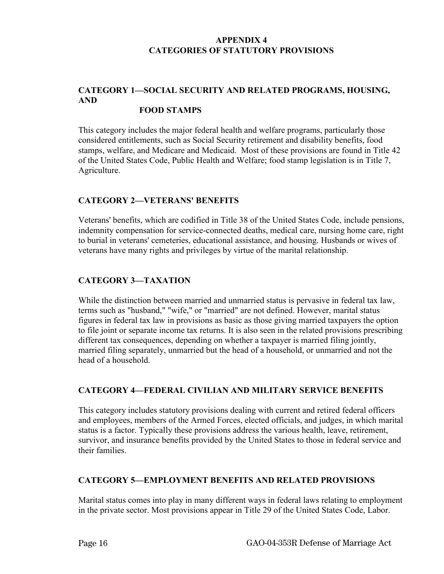# **APPENDIX 4 CATEGORIES OF STATUTORY PROVISIONS**

## **CATEGORY 1—SOCIAL SECURITY AND RELATED PROGRAMS, HOUSING, AND FOOD STAMPS**

# This category includes the major federal health and welfare programs, particularly those

considered entitlements, such as Social Security retirement and disability benefits, food stamps, welfare, and Medicare and Medicaid. Most of these provisions are found in Title 42 of the United States Code, Public Health and Welfare; food stamp legislation is in Title 7, Agriculture.

# **CATEGORY 2—VETERANS' BENEFITS**

Veterans' benefits, which are codified in Title 38 of the United States Code, include pensions, indemnity compensation for service-connected deaths, medical care, nursing home care, right to burial in veterans' cemeteries, educational assistance, and housing. Husbands or wives of veterans have many rights and privileges by virtue of the marital relationship.

# **CATEGORY 3—TAXATION**

While the distinction between married and unmarried status is pervasive in federal tax law, terms such as "husband," "wife," or "married" are not defined. However, marital status figures in federal tax law in provisions as basic as those giving married taxpayers the option to file joint or separate income tax returns. It is also seen in the related provisions prescribing different tax consequences, depending on whether a taxpayer is married filing jointly, married filing separately, unmarried but the head of a household, or unmarried and not the head of a household.

# **CATEGORY 4—FEDERAL CIVILIAN AND MILITARY SERVICE BENEFITS**

This category includes statutory provisions dealing with current and retired federal officers and employees, members of the Armed Forces, elected officials, and judges, in which marital status is a factor. Typically these provisions address the various health, leave, retirement, survivor, and insurance benefits provided by the United States to those in federal service and their families.

# **CATEGORY 5—EMPLOYMENT BENEFITS AND RELATED PROVISIONS**

Marital status comes into play in many different ways in federal laws relating to employment in the private sector. Most provisions appear in Title 29 of the United States Code, Labor.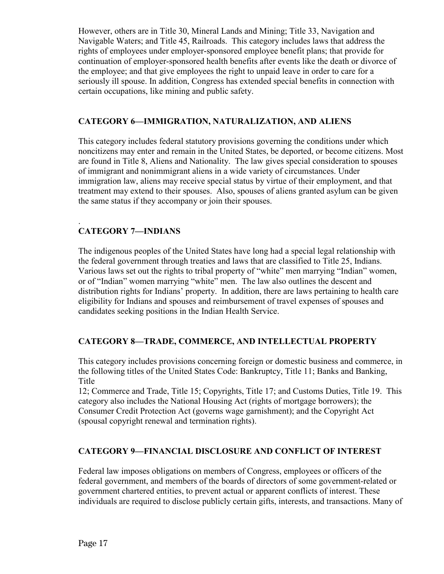However, others are in Title 30, Mineral Lands and Mining; Title 33, Navigation and Navigable Waters; and Title 45, Railroads. This category includes laws that address the rights of employees under employer-sponsored employee benefit plans; that provide for continuation of employer-sponsored health benefits after events like the death or divorce of the employee; and that give employees the right to unpaid leave in order to care for a seriously ill spouse. In addition, Congress has extended special benefits in connection with certain occupations, like mining and public safety.

# **CATEGORY 6—IMMIGRATION, NATURALIZATION, AND ALIENS**

This category includes federal statutory provisions governing the conditions under which noncitizens may enter and remain in the United States, be deported, or become citizens. Most are found in Title 8, Aliens and Nationality. The law gives special consideration to spouses of immigrant and nonimmigrant aliens in a wide variety of circumstances. Under immigration law, aliens may receive special status by virtue of their employment, and that treatment may extend to their spouses. Also, spouses of aliens granted asylum can be given the same status if they accompany or join their spouses.

# . **CATEGORY 7—INDIANS**

The indigenous peoples of the United States have long had a special legal relationship with the federal government through treaties and laws that are classified to Title 25, Indians. Various laws set out the rights to tribal property of "white" men marrying "Indian" women, or of "Indian" women marrying "white" men. The law also outlines the descent and distribution rights for Indians' property. In addition, there are laws pertaining to health care eligibility for Indians and spouses and reimbursement of travel expenses of spouses and candidates seeking positions in the Indian Health Service.

# **CATEGORY 8—TRADE, COMMERCE, AND INTELLECTUAL PROPERTY**

This category includes provisions concerning foreign or domestic business and commerce, in the following titles of the United States Code: Bankruptcy, Title 11; Banks and Banking, Title

12; Commerce and Trade, Title 15; Copyrights, Title 17; and Customs Duties, Title 19. This category also includes the National Housing Act (rights of mortgage borrowers); the Consumer Credit Protection Act (governs wage garnishment); and the Copyright Act (spousal copyright renewal and termination rights).

# **CATEGORY 9—FINANCIAL DISCLOSURE AND CONFLICT OF INTEREST**

Federal law imposes obligations on members of Congress, employees or officers of the federal government, and members of the boards of directors of some government-related or government chartered entities, to prevent actual or apparent conflicts of interest. These individuals are required to disclose publicly certain gifts, interests, and transactions. Many of